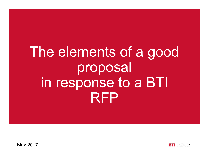### The elements of a good proposal in response to a BTI RFP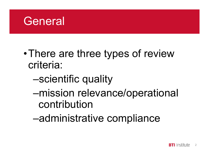

- There are three types of review criteria:
	- –scientific quality
	- –mission relevance/operational contribution
	- –administrative compliance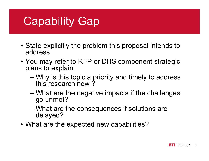### Capability Gap

- **Capability Gap<br>• State explicitly the problem this proposal intends to<br>• You may refer to RFP or DHS component strategic** address
- Capability Gap<br>• State explicitly the problem this proposal intends to<br>• You may refer to RFP or DHS component strategic<br>plans to explain:<br>— Why is this topic a priority and timely to address plans to explain: •<br> **Example 10 SEP 10 SEP 10 SEP 10 SEP 10 SEP 10 SEP 10 SEP 10 SEP 10 SEP 10 SEP 10 SEP 10 SEP 10 SEP 10 SEP 10 SEP 10 SEP 10 SEP 10 SEP 10 SEP 10 SEP 10 SEP 10 SEP 10 SEP 10 SEP 10 SEP 10 SEP 10 SEP 10 SEP 10 SEP 10 SEP** • You may refer to RFP or DHS component strated<br>plans to explain:<br>- Why is this topic a priority and timely to addre<br>this research now ?<br>- What are the negative impacts if the challeng<br>go unmet?<br>- What are the consequences
	- this research now ?
	- Frace explicitly the problem this proposal intends to<br>ddress<br>ou may refer to RFP or DHS component strategic<br>lans to explain:<br>- Why is this topic a priority and timely to address<br>this research now ?<br>- What are the negative go unmet? tate explicitly the problem this proposal intends to<br>ddress<br>ou may refer to RFP or DHS component strategic<br>lans to explain:<br>— Why is this topic a priority and timely to address<br>this research now ?<br>— What are the negative i
	- delayed?
-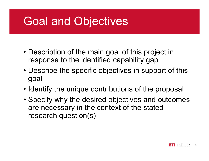### Goal and Objectives

- **Goal and Objectives<br>• Description of the main goal of this project in<br>• Pescription the identified capability gap<br>• Pescribe the specific objectives in support of this** response to the identified capability gap
- **Goal and Objectives**<br>• Description of the main goal of this project in<br>• Describe the identified capability gap<br>• Describe the specific objectives in support of this<br>goal goal • Description of the main goal of this project in<br>
response to the identified capability gap<br>
• Describe the specific objectives in support of this<br>
goal<br>
• Identify the unique contributions of the proposal<br>
• Specify why
- 
- Description of the main goal of this project in<br>response to the identified capability gap<br>• Describe the specific objectives in support of this<br>goal<br>• Identify the unique contributions of the proposal<br>• Specify why the d are necessary in the context of the stated research question(s)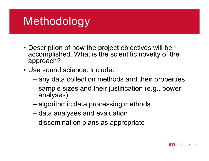### **Methodology**

- Methodology<br>• Description of how the project objectives will be<br>accomplished. What is the scientific novelty of the<br>approach? accomplished. What is the scientific novelty of the approach? **Methodology<br>• Description of how the project object<br>• accomplished. What is the scientific<br>• Use sound science. Include:<br>– any data collection methods and<br>• sample sizes and their justification** escription of how the project objectives will be<br>escription of how the project objectives will be<br>complished. What is the scientific novelty of the<br>pproach?<br>se sound science. Include:<br>— any data collection methods and thei EUTOCOTOCY<br>
escription of how the project objectives will be<br>
ccomplished. What is the scientific novelty of the<br>
pproach?<br>
se sound science. Include:<br>
– any data collection methods and their properties<br>
– sample sizes and escription of how the project objectives will be<br>ccomplished. What is the scientific novelty of the<br>pproach?<br>se sound science. Include:<br>— any data collection methods and their proper<br>— sample sizes and their justification escription of how the project objectives will be<br>ccomplished. What is the scientific novelty of t<br>pproach?<br>se sound science. Include:<br>— any data collection methods and their prope<br>— sample sizes and their justification (e.
- -
- analyses) becomplished. What is the scientific hoveny of the pproach?<br>se sound science. Include:<br>— any data collection methods and their properties<br>— sample sizes and their justification (e.g., power<br>analyses)<br>— algorithmic data pro
	-
	-
	-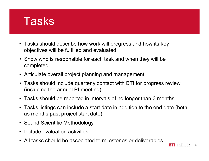

- Tasks should describe how work will progress and how its key<br>• Tasks should describe how work will progress and how its key<br>• Show who is responsible for each task and when they will be objectives will be fulfilled and evaluated. Fasks should describe how work will progress and how its key<br>• Tasks should describe how work will progress and how its key<br>• Show who is responsible for each task and when they will be<br>• Articulate overall project plannin
- completed. • Tasks should describe how work will progress and how its key objectives will be fulfilled and evaluated.<br>• Show who is responsible for each task and when they will be completed.<br>• Articulate overall project planning and
- 
- Tasks should describe how work will progress and how its key<br>• Tasks should describe how work will progress and how its key<br>• Show who is responsible for each task and when they will be<br>• Chriculate overall project plann (including the annual PI meeting) • Tasks should describe how work will progress and how its key<br>
• objectives will be fulfilled and evaluated.<br>
• Show who is responsible for each task and when they will be<br>
• Completed.<br>
• Articulate overall project plann • Show who is responsible for each task and whe<br>completed.<br>• Articulate overall project planning and manager<br>• Tasks should include quarterly contact with BTI<br>(including the annual PI meeting)<br>• Tasks should be reported in • Articulate overall project planning and manag<br>• Tasks should include quarterly contact with B<br>(including the annual PI meeting)<br>• Tasks should be reported in intervals of no lo<br>• Tasks listings can include a start date i
- 
- Tasks should describe how work will progress and how its key<br>
objectives will be fulfilled and evaluated.<br>
 Show who is responsible for each task and when they will be<br>
completed.<br>
 Articulate overall project planning as months past project start date) • Articulate overall project planning and management<br>
• Tasks should include quarterly contact with BTI for progress review<br>
(including the annual PI meeting)<br>
• Tasks should be reported in intervals of no longer than 3 mo
- 
- 
-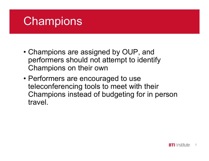### **Champions**

- **Champions**<br>• Champions are assigned by OUP, and<br>performers should not attempt to identify<br>Champions on their own performers should not attempt to identify Champions on their own **Champions**<br>• Champions are assigned by OUP, and<br>performers should not attempt to identify<br>Champions on their own<br>• Performers are encouraged to use<br>teleconferencing tools to meet with their<br>Champions instead of budgeting
- teleconferencing tools to meet with their Champions instead of budgeting for in person travel.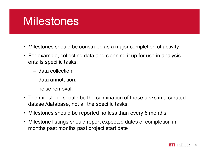### **Milestones**

- 
- whilestones<br>• Milestones should be construed as a major completion of activity<br>• For example, collecting data and cleaning it up for use in analysis<br>• entails specific tasks: Wilestones<br>• Milestones should be construed as a major completion of activity<br>• For example, collecting data and cleaning it up for use in analysis<br>• data collection,<br>• data collection, entails specific tasks: **ilestones**<br>
Solestones should be construed as a majour example, collecting data and cleaning<br>
Unitails specific tasks:<br>
A data collection,<br>
A data annotation,<br>
A data annotation, **ilestones should be construed as a major<br>
ilestones should be construed as a major<br>
prexample, collecting data and cleaning<br>
tails specific tasks:<br>
- data annotation,<br>
- noise removal,<br>
- noise removal,** ILESIONES<br>
ilestones should be construed as a major<br>
pr example, collecting data and cleaning<br>
tails specific tasks:<br>
- data collection,<br>
- data annotation,<br>
- noise removal,<br>
ne milestone should be the culmination of<br>
tas
	-
	-
	-
- Milestones should be construed as a major completion of activity<br>
 For example, collecting data and cleaning it up for use in analysis<br>
entails specific tasks:<br>
 data collection,<br>
 data annotation,<br>
 noise removal,<br> dataset/database, not all the specific tasks. • Milestones should be construed as a major completion of activity<br>
• For example, collecting data and cleaning it up for use in analysis<br>
entails specific tasks:<br>
– data collection,<br>
– data annotation,<br>
– noise removal,<br> • For example, collecting data and cleaning it up for use in analysis<br>
entails specific tasks:<br>
– data collection,<br>
– data annotation,<br>
– noise removal,<br>
• The milestone should be the culmination of these tasks in a curate
- 
- months past months past project start date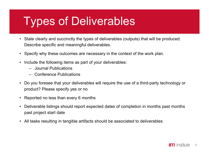## Types of Deliverables VOCS Of Deliverables<br>ate clearly and succinctly the types of deliverables<br>scribe specific and meaningful deliverables.<br>ecify why these outcomes are necessary in the controllowing items as part of your deliverable<br>- Journal VOES Of Deliverables<br>ate clearly and succinctly the types of deliverables<br>scribe specific and meaningful deliverables.<br>ecify why these outcomes are necessary in the co<br>clude the following items as part of your deliverable<br>

- Fypes of Deliverables<br>• State clearly and succinctly the types of deliverables (outputs) that will be produced.<br>• Specify why these outcomes are necessary in the context of the work plan. Describe specific and meaningful deliverables. Fypes of Deliverables (outputs) that will be produced.<br>• State clearly and succinctly the types of deliverables (outputs) that will be produced.<br>• Specify why these outcomes are necessary in the context of the work plan.<br>• Fypes of Deliverables (outputs) that v<br>
• State clearly and succinctly the types of deliverables (outputs) that v<br>
• Describe specific and meaningful deliverables.<br>
• Specify why these outcomes are necessary in the context • State clearly and succinctly the types of deliverables (output:<br>Describe specific and meaningful deliverables.<br>• Specify why these outcomes are necessary in the context of<br>• Include the following items as part of your de
- 
- -
	-
- For the state clearly and succinctly the types of deliverables (outputs) that will be produced.<br>
Describe specific and meaningful deliverables.<br>
 Specify why these outcomes are necessary in the context of the work plan.<br> product? Please specify yes or no • State clearly and succinctly the types of deliverables (outputs) that will be produced.<br>
Describe specific and meaningful deliverables.<br>
• Specify why these outcomes are necessary in the context of the work plan.<br>
• Incl • Specify why these outcomes are necessary in the context of the work plan.<br>• Include the following items as part of your deliverables:<br>– Journal Publications<br>• Do you foresee that your deliverables will require the use of
- 
- past project start date
-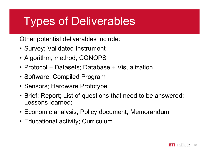### Types of Deliverables Types of Deliverable<br>
Other potential deliverables include:<br>
• Survey; Validated Instrument<br>
• Algorithm; method; CONOPS Types of Deliverables<br>
Other potential deliverables include:<br>
• Survey; Validated Instrument<br>
• Algorithm; method; CONOPS<br>
• Protocol + Datasets; Database + Visualization **Types of Deliverables**<br>
Other potential deliverables include:<br>
• Survey; Validated Instrument<br>
• Algorithm; method; CONOPS<br>
• Protocol + Datasets; Database + Visualization<br>
• Software; Compiled Program Types of Deliverables<br>
Other potential deliverables include:<br>
• Survey; Validated Instrument<br>
• Algorithm; method; CONOPS<br>
• Protocol + Datasets; Database + Visualization<br>
• Software; Compiled Program<br>
• Sensors; Hardware

Other potential deliverables include:

- 
- 
- 
- 
- 
- **I YPES OT DEIIVETADIES**<br>
Other potential deliverables include:<br>
 Survey; Validated Instrument<br>
 Algorithm; method; CONOPS<br>
 Protocol + Datasets; Database + Visualizatior<br>
 Software; Compiled Program<br>
 Sensors; Hardwa Other potential deliverables include:<br>• Survey; Validated Instrument<br>• Algorithm; method; CONOPS<br>• Protocol + Datasets; Database + Visualization<br>• Software; Compiled Program<br>• Sensors; Hardware Prototype<br>• Brief; Report; L Lessons learned; • Survey; Validated Instrument<br>• Algorithm; method; CONOPS<br>• Protocol + Datasets; Database + Visualization<br>• Software; Compiled Program<br>• Sensors; Hardware Prototype<br>• Brief; Report; List of questions that need to be answe • Algorithm; method; CONOPS<br>• Protocol + Datasets; Database + Visualization<br>• Software; Compiled Program<br>• Sensors; Hardware Prototype<br>• Brief; Report; List of questions that need to be answere<br>Lessons learned;<br>• Economic
- 
-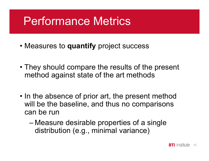# Performance Metrics Performance Metrics<br>• Measures to quantify project success

- 
- **Performance Metrics<br>• Measures to quantify** project success<br>• They should compare the results of the present<br>method against state of the art methods method against state of the art methods
- Measures to **quantify** project success<br>• They should compare the results of the present<br>method against state of the art methods<br>• In the absence of prior art, the present method<br>will be the baseline, and thus no comparis will be the baseline, and thus no comparisons can be run hey should compare the results of the present<br>hethod against state of the art methods<br>ill be the baseline, and thus no comparisons<br>an be run<br>— Measure desirable properties of a single<br>distribution (e.g., minimal variance)
	- distribution (e.g., minimal variance)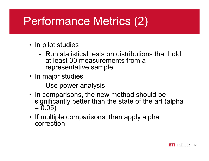# Performance Metrics (2) Performance Metrio

- 
- r**formance Metrics (2)**<br>Pripilot studies<br>- Run statistical tests on distributions that hold<br>at least 30 measurements from a<br>representative sample at least 30 measurements from a representative sample Performance Metric<br>
• In pilot studies<br>
• Run statistical tests on diserved that is at least 30 measurements<br>
representative sample<br>
• In major studies<br>
• Use power analysis<br>
• In comparisons, the new metric rformance Metrics (2<br>
Popolonial power and prior studies<br>
- Run statistical tests on distribution<br>
at least 30 measurements from a<br>
representative sample<br>
- Use power analysis<br>
Popolonial comparisons, the new method shape
- -
- In pilot studies<br>
 Run statistical tests on distributions that hold<br>
at least 30 measurements from a<br>
 representative sample<br>
 In major studies<br>
 Use power analysis<br>
 In comparisons, the new method should be<br>
signif significantly better than the state of the art (alpha  $= 0.05$ • Run statistical tests on distributions that hold<br>at least 30 measurements from a<br>representative sample<br>• In major studies<br>• Use power analysis<br>• In comparisons, the new method should be<br>significantly better than the stat
- correction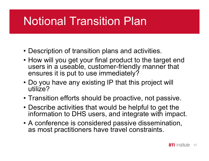### Notional Transition Plan

- 
- **Notional Transition Plan<br>• Description of transition plans and activities.**<br>• How will you get your final product to the target end<br>users in a useable, customer-friendly manner that **Notional Transition Plan<br>• Description of transition plans and activities.**<br>• How will you get your final product to the target end<br>users in a useable, customer-friendly manner that<br>ensures it is put to use immediately? users in a useable, customer-friendly manner that ensures it is put to use immediately? **Notional Transition Plan<br>• Description of transition plans and activities.**<br>• How will you get your final product to the target end<br>users in a useable, customer-friendly manner that<br>ensures it is put to use immediately?<br>• • Description of transition plans and activities.<br>• How will you get your final product to the target end<br>users in a useable, customer-friendly manner that<br>ensures it is put to use immediately?<br>• Do you have any existing I • Description of transition plans and activities.<br>• How will you get your final product to the target end<br>users in a useable, customer-friendly manner that<br>ensures it is put to use immediately?<br>• Do you have any existing I • How will you get your final product to the target end<br>users in a useable, customer-friendly manner that<br>ensures it is put to use immediately?<br>• Do you have any existing IP that this project will<br>utilize?<br>• Transition eff
- utilize?
- 
- information to DHS users, and integrate with impact.
- as most practitioners have travel constraints.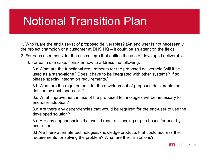### Notional Transition Plan

1. Who is/are the end user(s) of proposed deliverables? (An end user is not necessarily Notional Transition Plan<br>1. Who is/are the end user(s) of proposed deliverables? (An end user is not necessarily<br>the project champion or a customer at DHS HQ – it could be an agent on the field)<br>2. For each user, consider

2. For each user, consider the use case(s) that outline the use of developed deliverable.

3. For each use case, consider how to address the following:

3.a What are the functional requirements for the proposed deliverable (will it be used as a stand-alone? Does it have to be integrated with other systems? If so, please specify integration requirements.) For each use case, consider how to address the follow<br>3.a What are the functional requirements for the pro-<br>used as a stand-alone? Does it have to be integrate<br>please specify integration requirements.)<br>3.b What are the req

3.b What are the requirements for the development of proposed deliverable (as defined by each end-user)?

3.c What improvement in use of the proposed technologies will be necessary for end-user adoption?

3.d Are there any dependencies that would be required for the end-user to use the developed solution?

3.e Are any dependencies that would require licensing or purchases for user by

3.f Are there alternate technologies/knowledge products that could address the requirements for solving the problem? What are their limitations?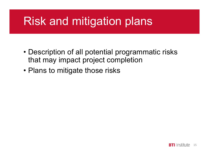### Risk and mitigation plans

- Risk and mitigation plans<br>• Description of all potential programmatic risks<br>• Hans to mitigate these risks that may impact project completion **Risk and mitigation plans**<br>• Description of all potential programmatic<br>• Plans to mitigate those risks
-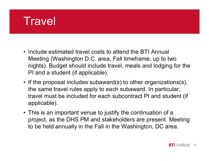#### **Travel**

- Travel<br>• Include estimated travel costs to attend the BTI Annual<br>Meeting (Washington D.C. area, Fall timeframe, up to two<br>nights). Budget should include travel, meals and lodging for the Meeting (Washington D.C. area, Fall timeframe, up to two nights). Budget should include travel, meals and lodging for the PI and a student (if applicable). • Include estimated travel costs to attend the BTI Annual<br>
Meeting (Washington D.C. area, Fall timeframe, up to two<br>
nights). Budget should include travel, meals and lodging for the<br>
PI and a student (if applicable).<br>
• If • Include estimated travel costs to attend the BTI Annual<br>
Meeting (Washington D.C. area, Fall timeframe, up to two<br>
nights). Budget should include travel, meals and lodging for the<br>
PI and a student (if applicable).<br>
• I
- the same travel rules apply to each subaward. In particular, travel must be included for each subcontract PI and student (if applicable).
- project, as the DHS PM and stakeholders are present. Meeting to be held annually in the Fall in the Washington, DC area.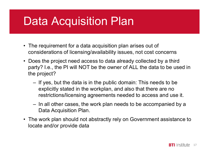### Data Acquisition Plan

- **Data Acquisition Plan**<br>• The requirement for a data acquisition plan arises out of<br>• Considerations of licensing/availability issues, not cost concerns<br>• Does the project need access to data already collected by a third considerations of licensing/availability issues, not cost concerns
- **Data Acquisition Plan**<br>• The requirement for a data acquisition plan arises out of<br>considerations of licensing/availability issues, not cost concerns<br>• Does the project need access to data already collected by a third<br>par party? I.e., the PI will NOT be the owner of ALL the data to be used in the project? **Exercise Accuration Plan**<br>
The requirement for a data acquisition plan arises out of<br>
msiderations of licensing/availability issues, not cost concerns<br>
Des the project need access to data already collected by a third<br>
err ne requirement for a data acquisition plan arises out of<br>prosiderations of licensing/availability issues, not cost concerns<br>pes the project need access to data already collected by a third<br>arty? I.e., the PI will NOT be th Frank Photosof and Considerations of licensing/availability issues, not cost concerns<br>
• Does the project need access to data already collected by a third<br>
party? I.e., the PI will NOT be the owner of ALL the data to be us
	- explicitly stated in the workplan, and also that there are no restrictions/licensing agreements needed to access and use it.
	- Data Acquisition Plan.
- locate and/or provide data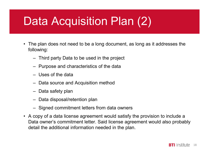### Data Acquisition Plan (2) **ata Acquisition Plan (2**<br>
re plan does not need to be a long document, as long a<br>
lowing:<br>
- Third party Data to be used in the project<br>
- Purpose and characteristics of the data<br>
- Uses of the data **ata Acquisition Plan (2)**<br>
The plan does not need to be a long document, as long as it addre<br>
lowing:<br>
- Third party Data to be used in the project<br>
- Purpose and characteristics of the data<br>
- Uses of the data<br>
- Data so **ata Acquisition Planet Acquisition**<br>
Third party Data to be a long documen<br>
- Third party Data to be used in the project<br>
- Purpose and characteristics of the data<br>
- Uses of the data<br>
- Data source and Acquisition method **ata Acquisition Plan (2)**<br>
The plan does not need to be a long document, as long as it ac<br>
lowing:<br>
- Third party Data to be used in the project<br>
- Purpose and characteristics of the data<br>
- Uses of the data<br>
- Data sourc

- **Data Acquisition Plan (2)**<br>• The plan does not need to be a long document, as long as it addresses the following:<br>- Third party Data to be used in the project following: e plan does not need to be a long documen<br>
lowing:<br>
- Third party Data to be used in the project<br>
- Purpose and characteristics of the data<br>
- Uses of the data<br>
- Data source and Acquisition method<br>
- Data safety plan<br>
- D ie plan does not need to be a long document, as long<br>
lowing:<br>
- Third party Data to be used in the project<br>
- Purpose and characteristics of the data<br>
- Uses of the data<br>
- Data source and Acquisition method<br>
- Data safet
	-
	-
	-
	-
	-
	-
	-
- in the plan does not need to be a long document, as long as it addresse<br>
lowing:<br>
 Third party Data to be used in the project<br>
 Purpose and characteristics of the data<br>
 Uses of the data<br>
 Data source and Acquisition m following:<br>
- Third party Data to be used in the project<br>
- Purpose and characteristics of the data<br>
- Uses of the data<br>
- Data source and Acquisition method<br>
- Data safety plan<br>
- Data disposal/retention plan<br>
- Signed c Data owner's commitment letter. Said license agreement would also probably detail the additional information needed in the plan.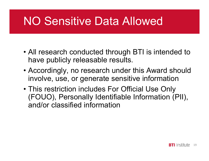### NO Sensitive Data Allowed

- **NO Sensitive Data Allowed<br>• All research conducted through BTI is intended to<br>• All research conducted through BTI is intended to<br>• Accordingly, no research under this Award should** have publicly releasable results.
- **NO Sensitive Data Allowed**<br>• All research conducted through BTI is intended to<br>have publicly releasable results.<br>• Accordingly, no research under this Award should<br>involve, use, or generate sensitive information<br>• This re involve, use, or generate sensitive information
- All research conducted through BTI is intended to<br>have publicly releasable results.<br>• Accordingly, no research under this Award should<br>involve, use, or generate sensitive information<br>• This restriction includes For Offic (FOUO), Personally Identifiable Information (PII), and/or classified information